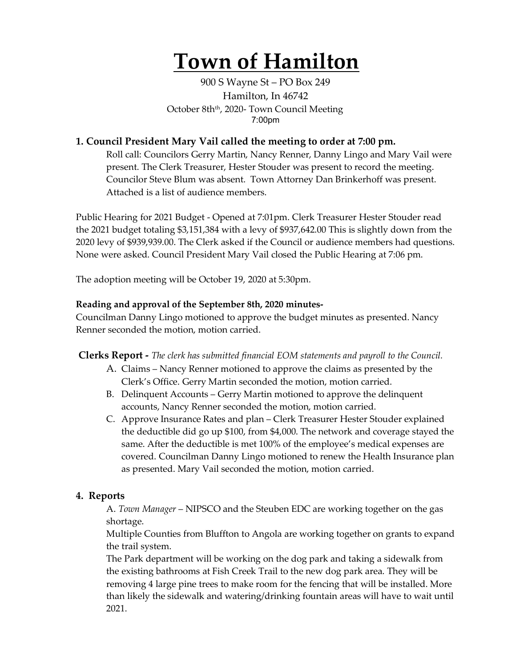# **Town of Hamilton**

900 S Wayne St – PO Box 249 Hamilton, In 46742 October 8th<sup>th</sup>, 2020- Town Council Meeting 7:00pm

# **1. Council President Mary Vail called the meeting to order at 7:00 pm.**

Roll call: Councilors Gerry Martin, Nancy Renner, Danny Lingo and Mary Vail were present. The Clerk Treasurer, Hester Stouder was present to record the meeting. Councilor Steve Blum was absent. Town Attorney Dan Brinkerhoff was present. Attached is a list of audience members.

Public Hearing for 2021 Budget - Opened at 7:01pm. Clerk Treasurer Hester Stouder read the 2021 budget totaling \$3,151,384 with a levy of \$937,642.00 This is slightly down from the 2020 levy of \$939,939.00. The Clerk asked if the Council or audience members had questions. None were asked. Council President Mary Vail closed the Public Hearing at 7:06 pm.

The adoption meeting will be October 19, 2020 at 5:30pm.

### **Reading and approval of the September 8th, 2020 minutes-**

Councilman Danny Lingo motioned to approve the budget minutes as presented. Nancy Renner seconded the motion, motion carried.

**Clerks Report -** *The clerk has submitted financial EOM statements and payroll to the Council.* 

- A. Claims Nancy Renner motioned to approve the claims as presented by the Clerk's Office. Gerry Martin seconded the motion, motion carried.
- B. Delinquent Accounts Gerry Martin motioned to approve the delinquent accounts, Nancy Renner seconded the motion, motion carried.
- C. Approve Insurance Rates and plan Clerk Treasurer Hester Stouder explained the deductible did go up \$100, from \$4,000. The network and coverage stayed the same. After the deductible is met 100% of the employee's medical expenses are covered. Councilman Danny Lingo motioned to renew the Health Insurance plan as presented. Mary Vail seconded the motion, motion carried.

## **4. Reports**

A. *Town Manager* – NIPSCO and the Steuben EDC are working together on the gas shortage.

Multiple Counties from Bluffton to Angola are working together on grants to expand the trail system.

The Park department will be working on the dog park and taking a sidewalk from the existing bathrooms at Fish Creek Trail to the new dog park area. They will be removing 4 large pine trees to make room for the fencing that will be installed. More than likely the sidewalk and watering/drinking fountain areas will have to wait until 2021.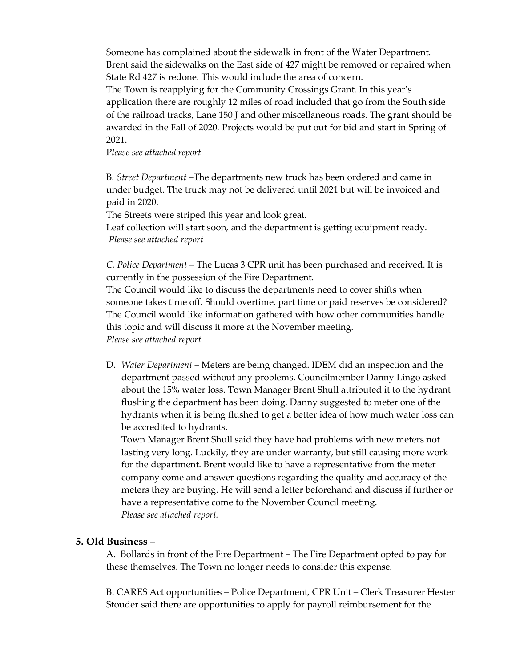Someone has complained about the sidewalk in front of the Water Department. Brent said the sidewalks on the East side of 427 might be removed or repaired when State Rd 427 is redone. This would include the area of concern.

The Town is reapplying for the Community Crossings Grant. In this year's application there are roughly 12 miles of road included that go from the South side of the railroad tracks, Lane 150 J and other miscellaneous roads. The grant should be awarded in the Fall of 2020. Projects would be put out for bid and start in Spring of 2021.

P*lease see attached report*

B*. Street Department* –The departments new truck has been ordered and came in under budget. The truck may not be delivered until 2021 but will be invoiced and paid in 2020.

The Streets were striped this year and look great.

Leaf collection will start soon, and the department is getting equipment ready. *Please see attached report*

*C. Police Department –* The Lucas 3 CPR unit has been purchased and received. It is currently in the possession of the Fire Department.

The Council would like to discuss the departments need to cover shifts when someone takes time off. Should overtime, part time or paid reserves be considered? The Council would like information gathered with how other communities handle this topic and will discuss it more at the November meeting. *Please see attached report.*

D. *Water Department* – Meters are being changed. IDEM did an inspection and the department passed without any problems. Councilmember Danny Lingo asked about the 15% water loss. Town Manager Brent Shull attributed it to the hydrant flushing the department has been doing. Danny suggested to meter one of the hydrants when it is being flushed to get a better idea of how much water loss can be accredited to hydrants.

Town Manager Brent Shull said they have had problems with new meters not lasting very long. Luckily, they are under warranty, but still causing more work for the department. Brent would like to have a representative from the meter company come and answer questions regarding the quality and accuracy of the meters they are buying. He will send a letter beforehand and discuss if further or have a representative come to the November Council meeting. *Please see attached report.* 

#### **5. Old Business –**

A. Bollards in front of the Fire Department – The Fire Department opted to pay for these themselves. The Town no longer needs to consider this expense.

B. CARES Act opportunities – Police Department, CPR Unit – Clerk Treasurer Hester Stouder said there are opportunities to apply for payroll reimbursement for the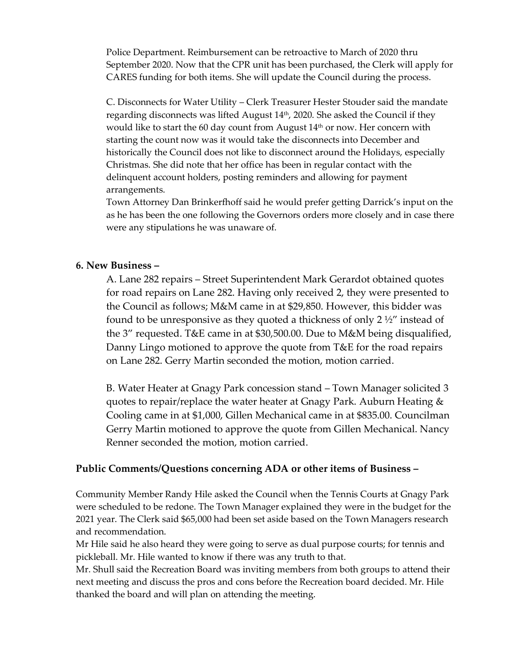Police Department. Reimbursement can be retroactive to March of 2020 thru September 2020. Now that the CPR unit has been purchased, the Clerk will apply for CARES funding for both items. She will update the Council during the process.

C. Disconnects for Water Utility – Clerk Treasurer Hester Stouder said the mandate regarding disconnects was lifted August 14<sup>th</sup>, 2020. She asked the Council if they would like to start the 60 day count from August  $14<sup>th</sup>$  or now. Her concern with starting the count now was it would take the disconnects into December and historically the Council does not like to disconnect around the Holidays, especially Christmas. She did note that her office has been in regular contact with the delinquent account holders, posting reminders and allowing for payment arrangements.

Town Attorney Dan Brinkerfhoff said he would prefer getting Darrick's input on the as he has been the one following the Governors orders more closely and in case there were any stipulations he was unaware of.

#### **6. New Business –**

A. Lane 282 repairs – Street Superintendent Mark Gerardot obtained quotes for road repairs on Lane 282. Having only received 2, they were presented to the Council as follows; M&M came in at \$29,850. However, this bidder was found to be unresponsive as they quoted a thickness of only 2 ½" instead of the 3" requested. T&E came in at \$30,500.00. Due to M&M being disqualified, Danny Lingo motioned to approve the quote from T&E for the road repairs on Lane 282. Gerry Martin seconded the motion, motion carried.

B. Water Heater at Gnagy Park concession stand – Town Manager solicited 3 quotes to repair/replace the water heater at Gnagy Park. Auburn Heating & Cooling came in at \$1,000, Gillen Mechanical came in at \$835.00. Councilman Gerry Martin motioned to approve the quote from Gillen Mechanical. Nancy Renner seconded the motion, motion carried.

#### **Public Comments/Questions concerning ADA or other items of Business –**

Community Member Randy Hile asked the Council when the Tennis Courts at Gnagy Park were scheduled to be redone. The Town Manager explained they were in the budget for the 2021 year. The Clerk said \$65,000 had been set aside based on the Town Managers research and recommendation.

Mr Hile said he also heard they were going to serve as dual purpose courts; for tennis and pickleball. Mr. Hile wanted to know if there was any truth to that.

Mr. Shull said the Recreation Board was inviting members from both groups to attend their next meeting and discuss the pros and cons before the Recreation board decided. Mr. Hile thanked the board and will plan on attending the meeting.